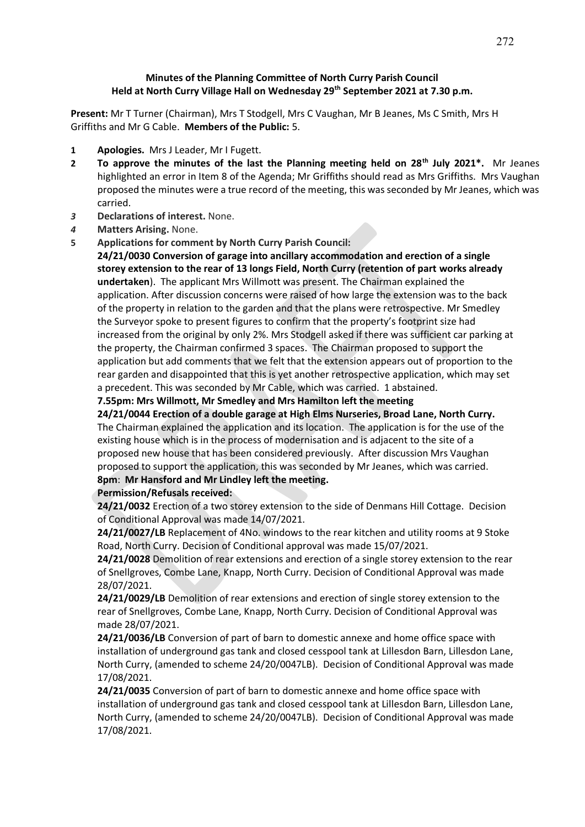## **Minutes of the Planning Committee of North Curry Parish Council Held at North Curry Village Hall on Wednesday 29th September 2021 at 7.30 p.m.**

**Present:** Mr T Turner (Chairman), Mrs T Stodgell, Mrs C Vaughan, Mr B Jeanes, Ms C Smith, Mrs H Griffiths and Mr G Cable. **Members of the Public:** 5.

- **1 Apologies.** Mrs J Leader, Mr I Fugett.
- **2 To approve the minutes of the last the Planning meeting held on 28th July 2021\*.** Mr Jeanes highlighted an error in Item 8 of the Agenda; Mr Griffiths should read as Mrs Griffiths. Mrs Vaughan proposed the minutes were a true record of the meeting, this was seconded by Mr Jeanes, which was carried.
- *3* **Declarations of interest.** None.
- *4* **Matters Arising.** None.
- **5 Applications for comment by North Curry Parish Council:**

**24/21/0030 Conversion of garage into ancillary accommodation and erection of a single storey extension to the rear of 13 longs Field, North Curry (retention of part works already undertaken**). The applicant Mrs Willmott was present. The Chairman explained the application. After discussion concerns were raised of how large the extension was to the back of the property in relation to the garden and that the plans were retrospective. Mr Smedley the Surveyor spoke to present figures to confirm that the property's footprint size had increased from the original by only 2%. Mrs Stodgell asked if there was sufficient car parking at the property, the Chairman confirmed 3 spaces. The Chairman proposed to support the application but add comments that we felt that the extension appears out of proportion to the rear garden and disappointed that this is yet another retrospective application, which may set a precedent. This was seconded by Mr Cable, which was carried. 1 abstained.

**7.55pm: Mrs Willmott, Mr Smedley and Mrs Hamilton left the meeting**

**24/21/0044 Erection of a double garage at High Elms Nurseries, Broad Lane, North Curry.** The Chairman explained the application and its location. The application is for the use of the existing house which is in the process of modernisation and is adjacent to the site of a proposed new house that has been considered previously. After discussion Mrs Vaughan proposed to support the application, this was seconded by Mr Jeanes, which was carried. **8pm**: **Mr Hansford and Mr Lindley left the meeting.**

## **Permission/Refusals received:**

**24/21/0032** Erection of a two storey extension to the side of Denmans Hill Cottage. Decision of Conditional Approval was made 14/07/2021.

**24/21/0027/LB** Replacement of 4No. windows to the rear kitchen and utility rooms at 9 Stoke Road, North Curry. Decision of Conditional approval was made 15/07/2021.

**24/21/0028** Demolition of rear extensions and erection of a single storey extension to the rear of Snellgroves, Combe Lane, Knapp, North Curry. Decision of Conditional Approval was made 28/07/2021.

**24/21/0029/LB** Demolition of rear extensions and erection of single storey extension to the rear of Snellgroves, Combe Lane, Knapp, North Curry. Decision of Conditional Approval was made 28/07/2021.

**24/21/0036/LB** Conversion of part of barn to domestic annexe and home office space with installation of underground gas tank and closed cesspool tank at Lillesdon Barn, Lillesdon Lane, North Curry, (amended to scheme 24/20/0047LB). Decision of Conditional Approval was made 17/08/2021.

**24/21/0035** Conversion of part of barn to domestic annexe and home office space with installation of underground gas tank and closed cesspool tank at Lillesdon Barn, Lillesdon Lane, North Curry, (amended to scheme 24/20/0047LB). Decision of Conditional Approval was made 17/08/2021.